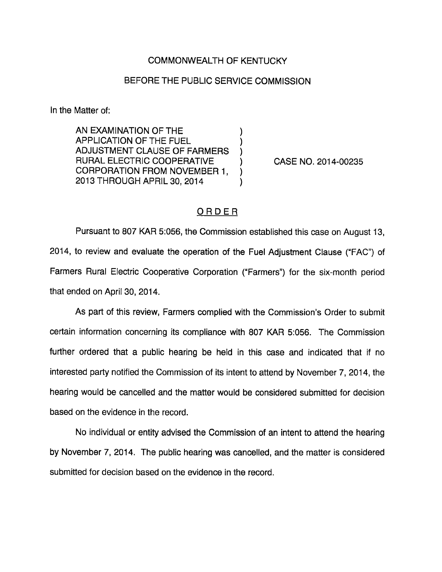## COMMONWEALTH OF KENTUCKY

## BEFORE THE PUBLIC SERVICE COMMISSION

In the Matter of:

AN EXAMINATION OF THE APPLICATION OF THE FUEL ADJUSTMENT CLAUSE OF FARMERS RURAL ELECTRIC COOPERATIVE CORPORATION FROM NOVEMBER 1, 2013 THROUGH APRIL 30, 2014

CASE NO. 2014-00235

## ORDER

 $\lambda$ 

Pursuant to 807 KAR 5:056, the Commission established this case on August 13, 2014, to review and evaluate the operation of the Fuel Adjustment Clause ("FAC") of Farmers Rural Electric Cooperative Corporation ("Farmers") for the six-month period that ended on April 30, 2014.

As part of this review. Farmers complied with the Commission's Order to submit certain information concerning its compliance with 807 KAR 5:056. The Commission further ordered that a public hearing be held in this case and indicated that if no interested party notified the Commission of its intent to attend by November 7, 2014, the hearing would be cancelled and the matter would be considered submitted for decision based on the evidence in the record.

No individual or entity advised the Commission of an intent to attend the hearing by November 7, 2014. The public hearing was cancelled, and the matter is considered submitted for decision based on the evidence in the record.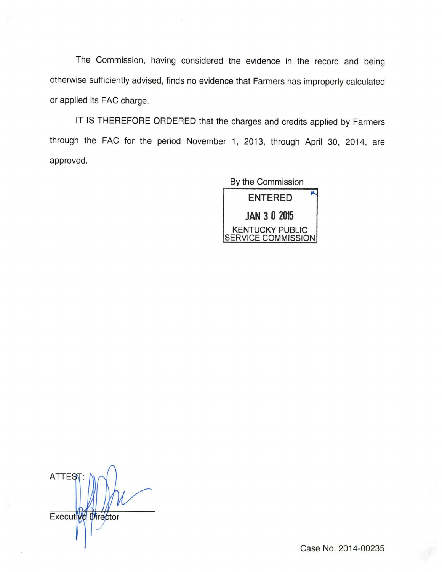The Commission, having considered the evidence in the record and being otherwise sufficiently advised, finds no evidence that Farmers has improperly calculated or applied its FAG charge.

IT IS THEREFORE ORDERED that the charges and credits applied by Farmers through the FAG for the period November 1, 2013, through April 30, 2014, are approved.

> By the Commission ENTERED JAN 3 0 2015 KENTUCKY PUBLIC SERVICE COMMISSION

**ATTESY** Executive Director

Case No. 2014-00235